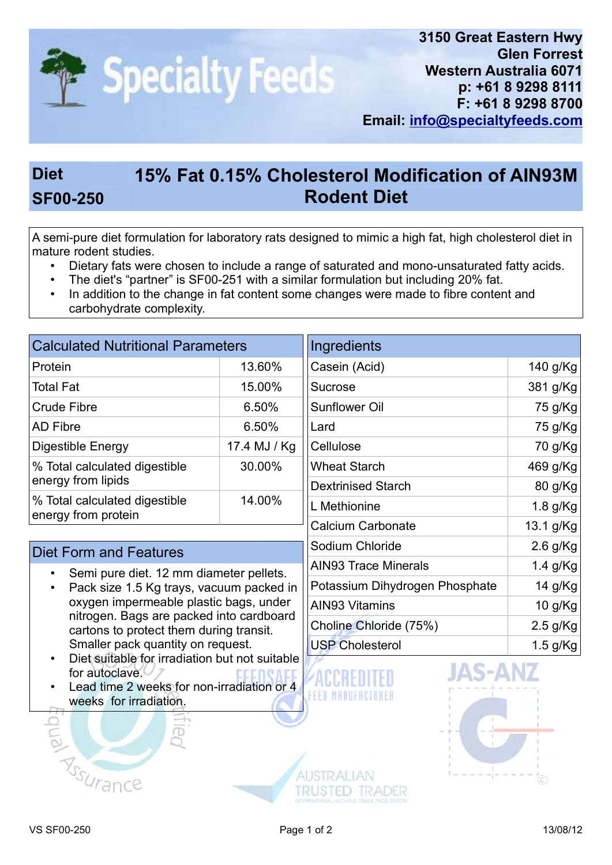

## Diet 15% Fat 0.15% Cholesterol Modification of AIN93M SF00-250 Rodent Diet

A semi-pure diet formulation for laboratory rats designed to mimic a high fat, high cholesterol diet in mature rodent studies.

- Dietary fats were chosen to include a range of saturated and mono-unsaturated fatty acids.
- The diet's "partner" is SF00-251 with a similar formulation but including 20% fat.
- In addition to the change in fat content some changes were made to fibre content and carbohydrate complexity.

| <b>Calculated Nutritional Parameters</b>             |              | Ingredients               |             |
|------------------------------------------------------|--------------|---------------------------|-------------|
| Protein                                              | 13.60%       | Casein (Acid)             | 140 g/Kg    |
| <b>Total Fat</b>                                     | 15.00%       | Sucrose                   | 381 g/Kg    |
| <b>Crude Fibre</b>                                   | 6.50%        | <b>Sunflower Oil</b>      | 75 g/Kg     |
| <b>AD Fibre</b>                                      | 6.50%        | Lard                      | 75 g/Kg     |
| Digestible Energy                                    | 17.4 MJ / Kg | Cellulose                 | 70 g/Kg     |
| % Total calculated digestible<br>energy from lipids  | 30.00%       | <b>Wheat Starch</b>       | 469 g/Kg    |
|                                                      |              | <b>Dextrinised Starch</b> | 80 g/Kg     |
| % Total calculated digestible<br>energy from protein | 14.00%       | L Methionine              | $1.8$ g/Kg  |
|                                                      |              | Calcium Carbonate         | $13.1$ a/Ka |

## Diet Form and Features

- Semi pure diet. 12 mm diameter pellets.
- Pack size 1.5 Kg trays, vacuum packed in oxygen impermeable plastic bags, under nitrogen. Bags are packed into cardboard cartons to protect them during transit. Smaller pack quantity on request.
- Diet suitable for irradiation but not suitable for autoclave  $\vee$  7
- Lead time 2 weeks for non-irradiation or 4 weeks for irradiation.

| <b>Sucrose</b>                 | 38 I G/NG  |
|--------------------------------|------------|
| Sunflower Oil                  | 75 g/Kg    |
| Lard                           | 75 g/Kg    |
| Cellulose                      | 70 g/Kg    |
| Wheat Starch                   | 469 g/Kg   |
| <b>Dextrinised Starch</b>      | 80 g/Kg    |
| L Methionine                   | $1.8$ g/Kg |
| Calcium Carbonate              | 13.1 g/Kg  |
| Sodium Chloride                | $2.6$ g/Kg |
| AIN93 Trace Minerals           | 1.4 g/Kg   |
| Potassium Dihydrogen Phosphate | 14 g/ $Kg$ |
| <b>AIN93 Vitamins</b>          | 10 g/ $Kg$ |
| Choline Chloride (75%)         | $2.5$ g/Kg |
| <b>USP Cholesterol</b>         | $1.5$ g/Kg |
|                                |            |



**Assurance** 

FEED MANUFACTURE

**AUSTRALIAN** 

TRUSTED TRADER